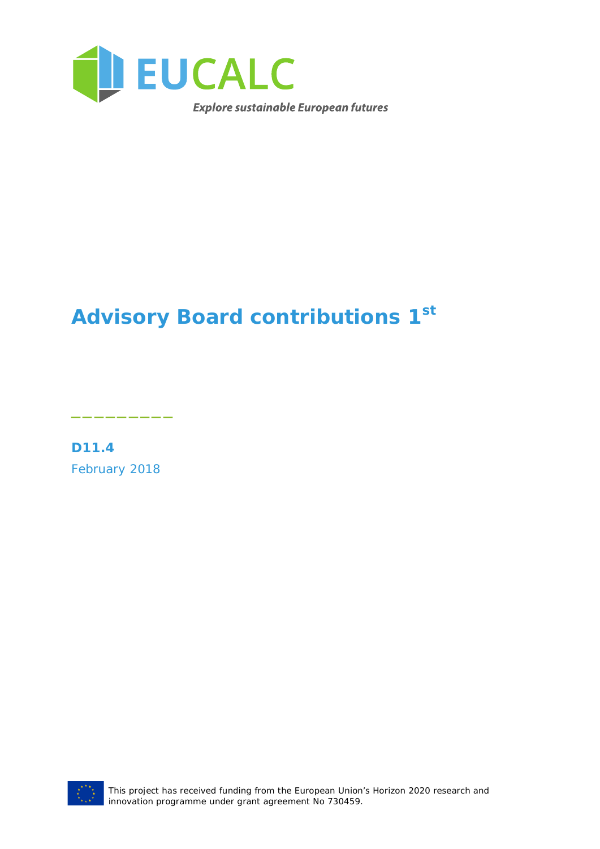

# **Advisory Board contributions 1st**

**D11.4** February 2018

\_\_\_\_\_\_\_\_\_



This project has received funding from the European Union's Horizon 2020 research and innovation programme under grant agreement No 730459.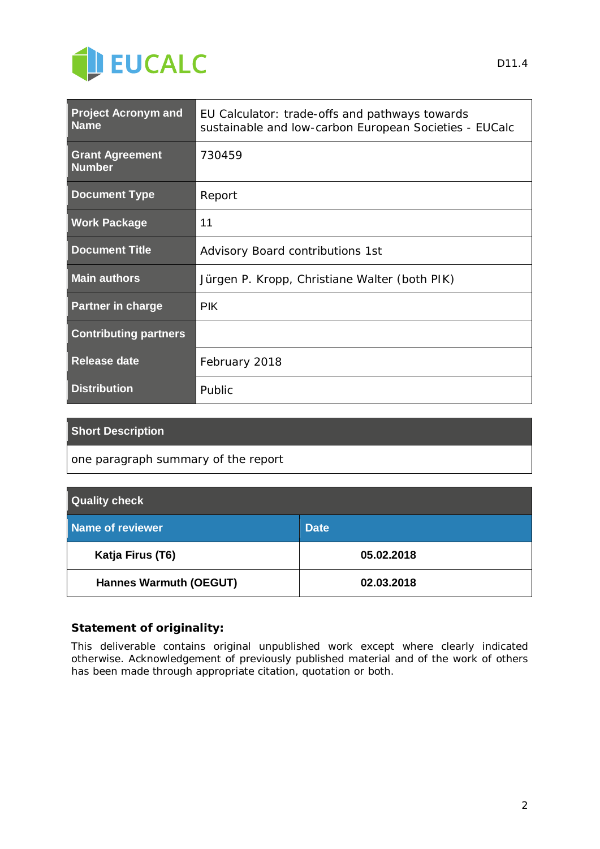

| <b>Project Acronym and</b><br><b>Name</b> | EU Calculator: trade-offs and pathways towards<br>sustainable and low-carbon European Societies - EUCalc |
|-------------------------------------------|----------------------------------------------------------------------------------------------------------|
| <b>Grant Agreement</b><br><b>Number</b>   | 730459                                                                                                   |
| <b>Document Type</b>                      | Report                                                                                                   |
| <b>Work Package</b>                       | 11                                                                                                       |
| <b>Document Title</b>                     | Advisory Board contributions 1st                                                                         |
| <b>Main authors</b>                       | Jürgen P. Kropp, Christiane Walter (both PIK)                                                            |
| <b>Partner in charge</b>                  | <b>PIK</b>                                                                                               |
| <b>Contributing partners</b>              |                                                                                                          |
| <b>Release date</b>                       | February 2018                                                                                            |
| <b>Distribution</b>                       | Public                                                                                                   |

#### **Short Description**

*one paragraph summary of the report*

| <b>Quality check</b>          |             |  |  |  |
|-------------------------------|-------------|--|--|--|
| Name of reviewer              | <b>Date</b> |  |  |  |
| Katja Firus (T6)              | 05.02.2018  |  |  |  |
| <b>Hannes Warmuth (OEGUT)</b> | 02.03.2018  |  |  |  |

#### **Statement of originality:**

This deliverable contains original unpublished work except where clearly indicated otherwise. Acknowledgement of previously published material and of the work of others has been made through appropriate citation, quotation or both.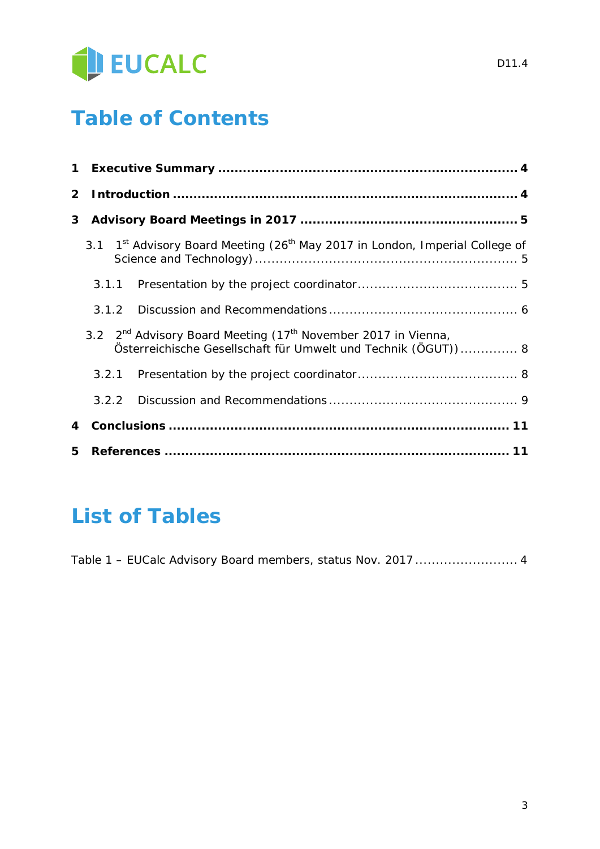

# **Table of Contents**

| $\mathbf 1$    |       |                                                                                                                                                 |
|----------------|-------|-------------------------------------------------------------------------------------------------------------------------------------------------|
| $\mathbf{2}^-$ |       |                                                                                                                                                 |
| 3              |       |                                                                                                                                                 |
|                |       | 3.1 1 <sup>st</sup> Advisory Board Meeting (26 <sup>th</sup> May 2017 in London, Imperial College of                                            |
|                | 3.1.1 |                                                                                                                                                 |
|                | 3.1.2 |                                                                                                                                                 |
|                |       | 3.2 $2^{nd}$ Advisory Board Meeting (17 <sup>th</sup> November 2017 in Vienna,<br>Österreichische Gesellschaft für Umwelt und Technik (ÖGUT)) 8 |
|                | 3.2.1 |                                                                                                                                                 |
|                | 3.2.2 |                                                                                                                                                 |
| 4              |       |                                                                                                                                                 |
| 5.             |       |                                                                                                                                                 |

## **List of Tables**

Table 1 – EUCalc Advisory Board members, status Nov. 2017 ......................... 4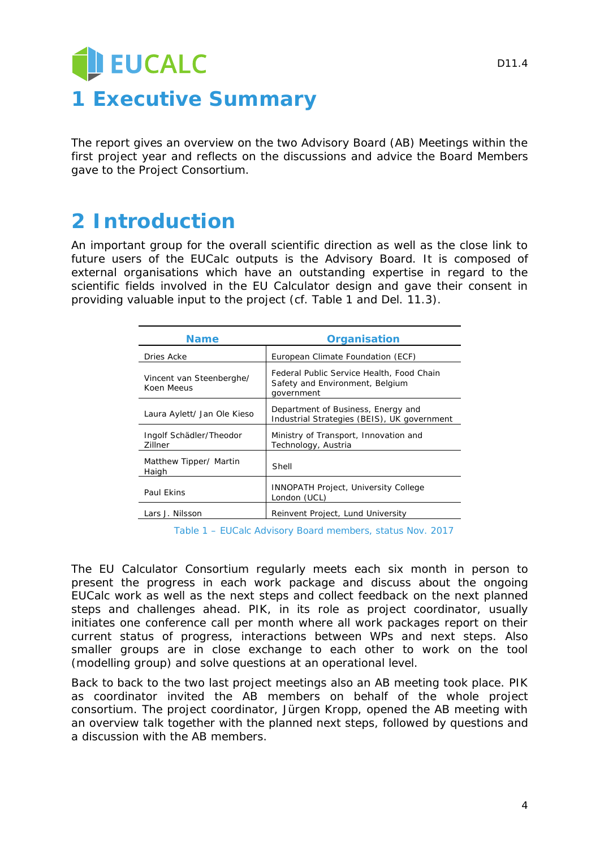# EUCALC **1 Executive Summary**

The report gives an overview on the two Advisory Board (AB) Meetings within the first project year and reflects on the discussions and advice the Board Members gave to the Project Consortium.

## **2 Introduction**

An important group for the overall scientific direction as well as the close link to future users of the EUCalc outputs is the Advisory Board. It is composed of external organisations which have an outstanding expertise in regard to the scientific fields involved in the EU Calculator design and gave their consent in providing valuable input to the project (cf. Table 1 and Del. 11.3).

| <b>Name</b>                            | <b>Organisation</b>                                                                        |
|----------------------------------------|--------------------------------------------------------------------------------------------|
| Dries Acke                             | European Climate Foundation (ECF)                                                          |
| Vincent van Steenberghe/<br>Koen Meeus | Federal Public Service Health, Food Chain<br>Safety and Environment, Belgium<br>government |
| Laura Aylett/ Jan Ole Kieso            | Department of Business, Energy and<br>Industrial Strategies (BEIS), UK government          |
| Ingolf Schädler/Theodor<br>Zillner     | Ministry of Transport, Innovation and<br>Technology, Austria                               |
| Matthew Tipper/ Martin<br>Haigh        | Shell                                                                                      |
| Paul Ekins                             | <b>INNOPATH Project, University College</b><br>London (UCL)                                |
| Lars J. Nilsson                        | Reinvent Project, Lund University                                                          |

*Table 1 – EUCalc Advisory Board members, status Nov. 2017*

The EU Calculator Consortium regularly meets each six month in person to present the progress in each work package and discuss about the ongoing EUCalc work as well as the next steps and collect feedback on the next planned steps and challenges ahead. PIK, in its role as project coordinator, usually initiates one conference call per month where all work packages report on their current status of progress, interactions between WPs and next steps. Also smaller groups are in close exchange to each other to work on the tool (modelling group) and solve questions at an operational level.

Back to back to the two last project meetings also an AB meeting took place. PIK as coordinator invited the AB members on behalf of the whole project consortium. The project coordinator, Jürgen Kropp, opened the AB meeting with an overview talk together with the planned next steps, followed by questions and a discussion with the AB members.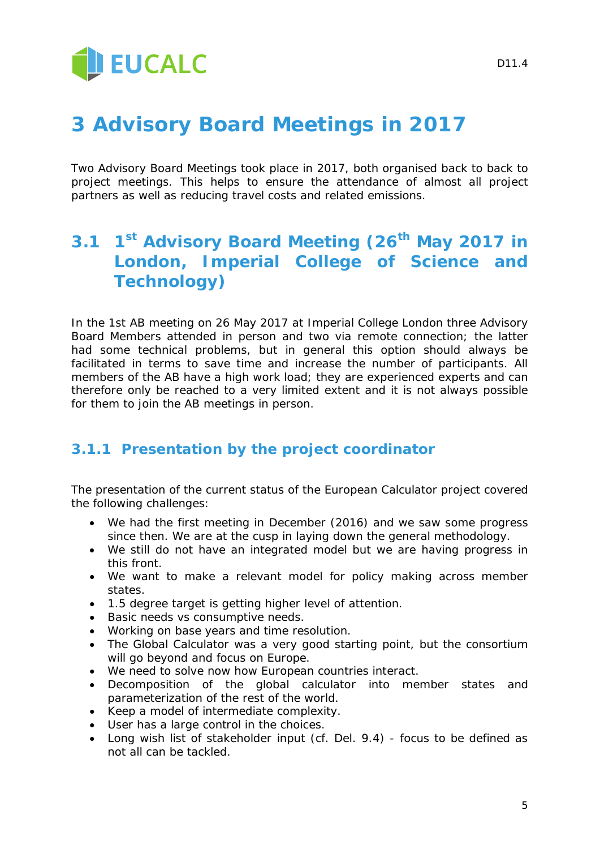# **3 Advisory Board Meetings in 2017**

Two Advisory Board Meetings took place in 2017, both organised back to back to project meetings. This helps to ensure the attendance of almost all project partners as well as reducing travel costs and related emissions.

## **3.1 1st Advisory Board Meeting (26th May 2017 in London, Imperial College of Science and Technology)**

In the 1st AB meeting on 26 May 2017 at Imperial College London three Advisory Board Members attended in person and two via remote connection; the latter had some technical problems, but in general this option should always be facilitated in terms to save time and increase the number of participants. All members of the AB have a high work load; they are experienced experts and can therefore only be reached to a very limited extent and it is not always possible for them to join the AB meetings in person.

## **3.1.1 Presentation by the project coordinator**

The presentation of the current status of the European Calculator project covered the following challenges:

- We had the first meeting in December (2016) and we saw some progress since then. We are at the cusp in laying down the general methodology.
- We still do not have an integrated model but we are having progress in this front.
- We want to make a relevant model for policy making across member states.
- 1.5 degree target is getting higher level of attention.
- Basic needs vs consumptive needs.
- Working on base years and time resolution.
- The Global Calculator was a very good starting point, but the consortium will go beyond and focus on Europe.
- We need to solve now how European countries interact.
- Decomposition of the global calculator into member states and parameterization of the rest of the world.
- Keep a model of intermediate complexity.
- User has a large control in the choices.
- Long wish list of stakeholder input (cf. Del. 9.4) focus to be defined as not all can be tackled.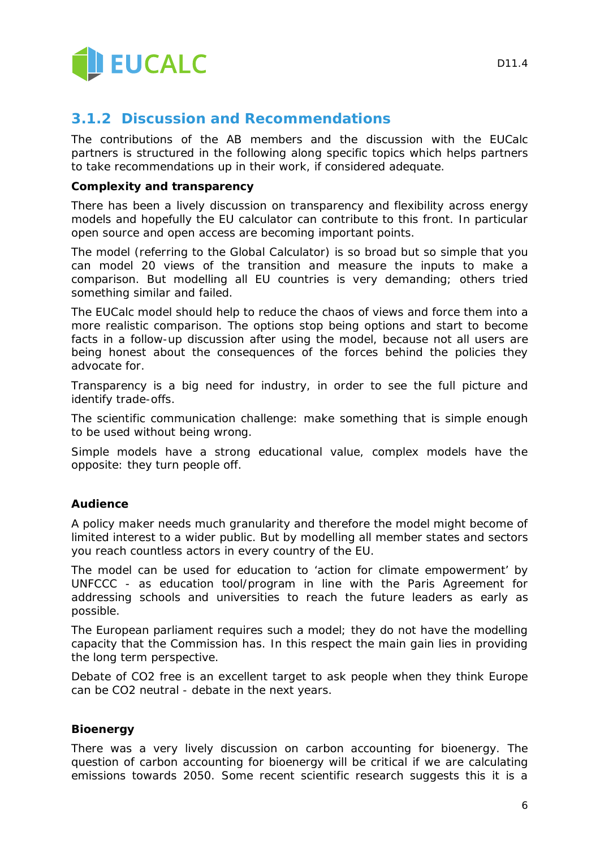

### **3.1.2 Discussion and Recommendations**

The contributions of the AB members and the discussion with the EUCalc partners is structured in the following along specific topics which helps partners to take recommendations up in their work, if considered adequate.

#### **Complexity and transparency**

There has been a lively discussion on transparency and flexibility across energy models and hopefully the EU calculator can contribute to this front. In particular open source and open access are becoming important points.

The model (referring to the Global Calculator) is so broad but so simple that you can model 20 views of the transition and measure the inputs to make a comparison. But modelling all EU countries is very demanding; others tried something similar and failed.

The EUCalc model should help to reduce the chaos of views and force them into a more realistic comparison. The options stop being options and start to become facts in a follow-up discussion after using the model, because not all users are being honest about the consequences of the forces behind the policies they advocate for.

Transparency is a big need for industry, in order to see the full picture and identify trade-offs.

The scientific communication challenge: make something that is simple enough to be used without being wrong.

Simple models have a strong educational value, complex models have the opposite: they turn people off.

#### **Audience**

A policy maker needs much granularity and therefore the model might become of limited interest to a wider public. But by modelling all member states and sectors you reach countless actors in every country of the EU.

The model can be used for education to 'action for climate empowerment' by UNFCCC - as education tool/program in line with the Paris Agreement for addressing schools and universities to reach the future leaders as early as possible.

The European parliament requires such a model; they do not have the modelling capacity that the Commission has. In this respect the main gain lies in providing the long term perspective.

Debate of CO2 free is an excellent target to ask people when they think Europe can be CO2 neutral - debate in the next years.

#### **Bioenergy**

There was a very lively discussion on carbon accounting for bioenergy. The question of carbon accounting for bioenergy will be critical if we are calculating emissions towards 2050. Some recent scientific research suggests this it is a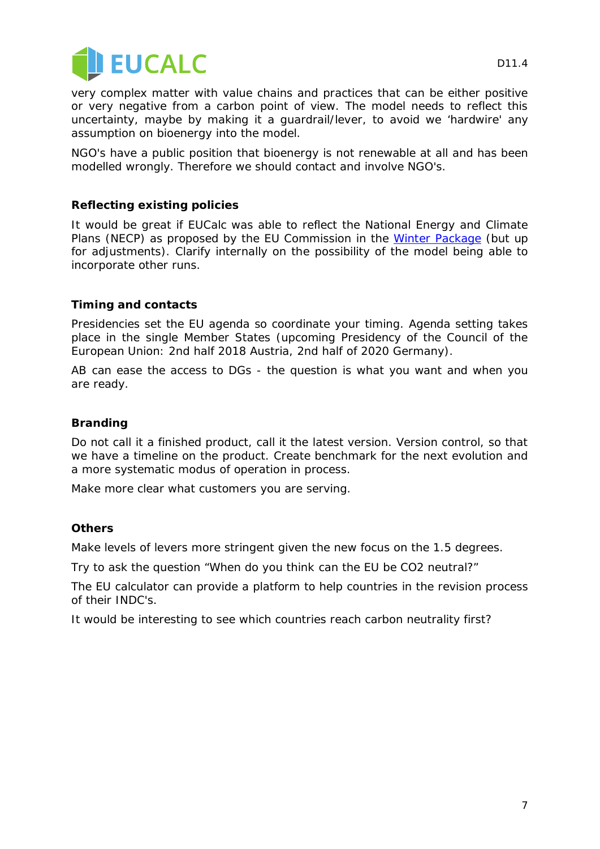

D<sub>11</sub>4

very complex matter with value chains and practices that can be either positive or very negative from a carbon point of view. The model needs to reflect this uncertainty, maybe by making it a guardrail/lever, to avoid we 'hardwire' any assumption on bioenergy into the model.

NGO's have a public position that bioenergy is not renewable at all and has been modelled wrongly. Therefore we should contact and involve NGO's.

#### **Reflecting existing policies**

It would be great if EUCalc was able to reflect the National Energy and Climate Plans (NECP) as proposed by the EU Commission in the [Winter Package](https://ec.europa.eu/energy/en/news/commission-proposes-new-rules-consumer-centred-clean-energy-transition) (but up for adjustments). Clarify internally on the possibility of the model being able to incorporate other runs.

#### **Timing and contacts**

Presidencies set the EU agenda so coordinate your timing. Agenda setting takes place in the single Member States (upcoming Presidency of the Council of the European Union: 2nd half 2018 Austria, 2nd half of 2020 Germany).

AB can ease the access to DGs - the question is what you want and when you are ready.

#### **Branding**

Do not call it a finished product, call it the latest version. Version control, so that we have a timeline on the product. Create benchmark for the next evolution and a more systematic modus of operation in process.

Make more clear what customers you are serving.

#### **Others**

Make levels of levers more stringent given the new focus on the 1.5 degrees.

Try to ask the question "When do you think can the EU be CO2 neutral?"

The EU calculator can provide a platform to help countries in the revision process of their INDC's.

It would be interesting to see which countries reach carbon neutrality first?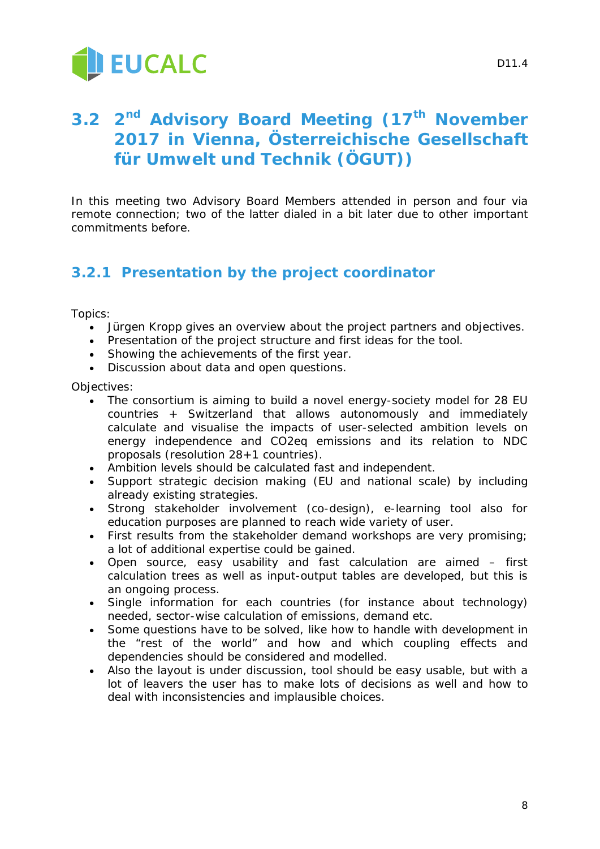

## **3.2 2nd Advisory Board Meeting (17th November 2017 in Vienna, Österreichische Gesellschaft für Umwelt und Technik (ÖGUT))**

In this meeting two Advisory Board Members attended in person and four via remote connection; two of the latter dialed in a bit later due to other important commitments before.

## **3.2.1 Presentation by the project coordinator**

Topics:

- Jürgen Kropp gives an overview about the project partners and objectives.
- Presentation of the project structure and first ideas for the tool.
- Showing the achievements of the first year.
- Discussion about data and open questions.

Objectives:

- The consortium is aiming to build a novel energy-society model for 28 EU countries + Switzerland that allows autonomously and immediately calculate and visualise the impacts of user-selected ambition levels on energy independence and CO2eq emissions and its relation to NDC proposals (resolution 28+1 countries).
- Ambition levels should be calculated fast and independent.
- Support strategic decision making (EU and national scale) by including already existing strategies.
- Strong stakeholder involvement (co-design), e-learning tool also for education purposes are planned to reach wide variety of user.
- First results from the stakeholder demand workshops are very promising; a lot of additional expertise could be gained.
- Open source, easy usability and fast calculation are aimed first calculation trees as well as input-output tables are developed, but this is an ongoing process.
- Single information for each countries (for instance about technology) needed, sector-wise calculation of emissions, demand etc.
- Some questions have to be solved, like how to handle with development in the "rest of the world" and how and which coupling effects and dependencies should be considered and modelled.
- Also the layout is under discussion, tool should be easy usable, but with a lot of leavers the user has to make lots of decisions as well and how to deal with inconsistencies and implausible choices.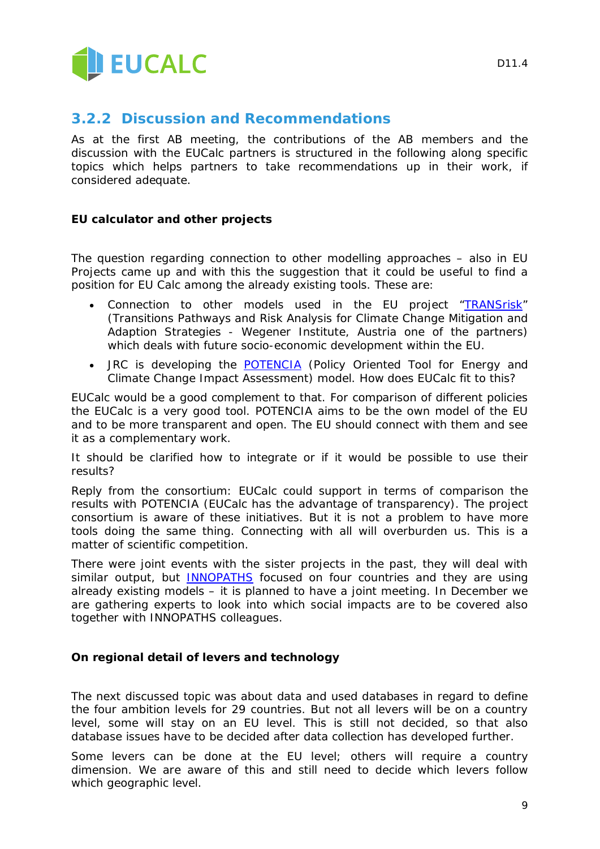

### **3.2.2 Discussion and Recommendations**

As at the first AB meeting, the contributions of the AB members and the discussion with the EUCalc partners is structured in the following along specific topics which helps partners to take recommendations up in their work, if considered adequate.

#### **EU calculator and other projects**

The question regarding connection to other modelling approaches – also in EU Projects came up and with this the suggestion that it could be useful to find a position for EU Calc among the already existing tools. These are:

- Connection to other models used in the EU project ["TRANSrisk"](http://transrisk-project.eu/) (Transitions Pathways and Risk Analysis for Climate Change Mitigation and Adaption Strategies - Wegener Institute, Austria one of the partners) which deals with future socio-economic development within the EU.
- JRC is developing the [POTENCIA](https://ec.europa.eu/jrc/en/potencia) (Policy Oriented Tool for Energy and Climate Change Impact Assessment) model. How does EUCalc fit to this?

EUCalc would be a good complement to that. For comparison of different policies the EUCalc is a very good tool. POTENCIA aims to be the own model of the EU and to be more transparent and open. The EU should connect with them and see it as a complementary work.

It should be clarified how to integrate or if it would be possible to use their results?

Reply from the consortium: EUCalc could support in terms of comparison the results with POTENCIA (EUCalc has the advantage of transparency). The project consortium is aware of these initiatives. But it is not a problem to have more tools doing the same thing. Connecting with all will overburden us. This is a matter of scientific competition.

There were joint events with the sister projects in the past, they will deal with similar output, but **[INNOPATHS](http://www.innopaths.eu/)** focused on four countries and they are using already existing models – it is planned to have a joint meeting. In December we are gathering experts to look into which social impacts are to be covered also together with INNOPATHS colleagues.

#### **On regional detail of levers and technology**

The next discussed topic was about data and used databases in regard to define the four ambition levels for 29 countries. But not all levers will be on a country level, some will stay on an EU level. This is still not decided, so that also database issues have to be decided after data collection has developed further.

Some levers can be done at the EU level; others will require a country dimension. We are aware of this and still need to decide which levers follow which geographic level.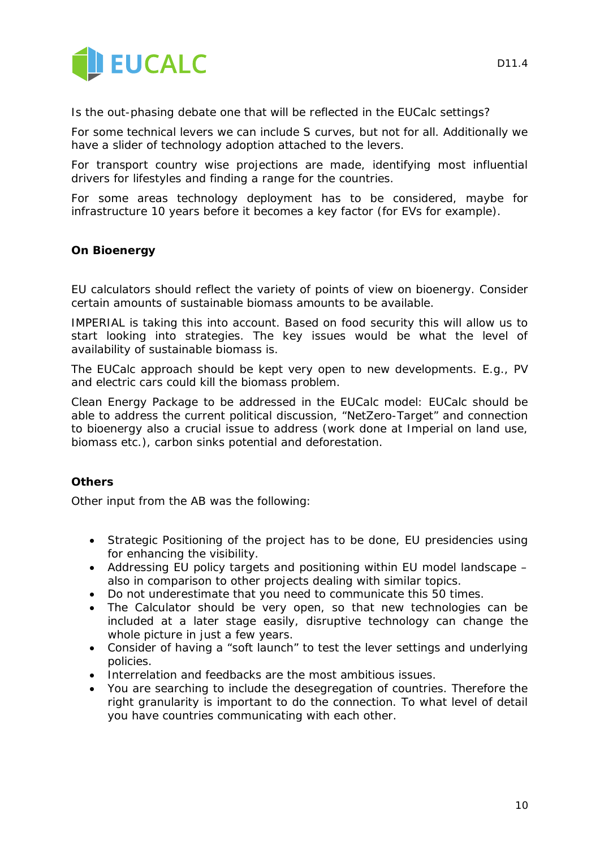

For some technical levers we can include S curves, but not for all. Additionally we have a slider of technology adoption attached to the levers.

For transport country wise projections are made, identifying most influential drivers for lifestyles and finding a range for the countries.

For some areas technology deployment has to be considered, maybe for infrastructure 10 years before it becomes a key factor (for EVs for example).

#### **On Bioenergy**

EU calculators should reflect the variety of points of view on bioenergy. Consider certain amounts of sustainable biomass amounts to be available.

IMPERIAL is taking this into account. Based on food security this will allow us to start looking into strategies. The key issues would be what the level of availability of sustainable biomass is.

The EUCalc approach should be kept very open to new developments. E.g., PV and electric cars could kill the biomass problem.

Clean Energy Package to be addressed in the EUCalc model: EUCalc should be able to address the current political discussion, "NetZero-Target" and connection to bioenergy also a crucial issue to address (work done at Imperial on land use, biomass etc.), carbon sinks potential and deforestation.

#### **Others**

Other input from the AB was the following:

- Strategic Positioning of the project has to be done, EU presidencies using for enhancing the visibility.
- Addressing EU policy targets and positioning within EU model landscape also in comparison to other projects dealing with similar topics.
- Do not underestimate that you need to communicate this 50 times.
- The Calculator should be very open, so that new technologies can be included at a later stage easily, disruptive technology can change the whole picture in just a few years.
- Consider of having a "soft launch" to test the lever settings and underlying policies.
- Interrelation and feedbacks are the most ambitious issues.
- You are searching to include the desegregation of countries. Therefore the right granularity is important to do the connection. To what level of detail you have countries communicating with each other.